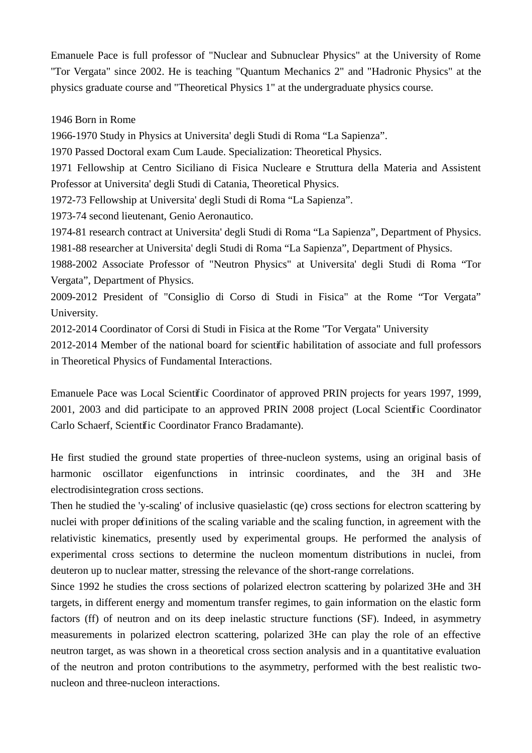Emanuele Pace is full professor of "Nuclear and Subnuclear Physics" at the University of Rome "Tor Vergata" since 2002. He is teaching "Quantum Mechanics 2" and "Hadronic Physics" at the physics graduate course and "Theoretical Physics 1" at the undergraduate physics course.

## 1946 Born in Rome

1966-1970 Study in Physics at Universita' degli Studi di Roma "La Sapienza".

1970 Passed Doctoral exam Cum Laude. Specialization: Theoretical Physics.

1971 Fellowship at Centro Siciliano di Fisica Nucleare e Struttura della Materia and Assistent Professor at Universita' degli Studi di Catania, Theoretical Physics.

1972-73 Fellowship at Universita' degli Studi di Roma "La Sapienza".

1973-74 second lieutenant, Genio Aeronautico.

1974-81 research contract at Universita' degli Studi di Roma "La Sapienza", Department of Physics. 1981-88 researcher at Universita' degli Studi di Roma "La Sapienza", Department of Physics.

1988-2002 Associate Professor of "Neutron Physics" at Universita' degli Studi di Roma "Tor Vergata", Department of Physics.

2009-2012 President of "Consiglio di Corso di Studi in Fisica" at the Rome "Tor Vergata" University.

2012-2014 Coordinator of Corsi di Studi in Fisica at the Rome "Tor Vergata" University

2012-2014 Member of the national board for scientific habilitation of associate and full professors in Theoretical Physics of Fundamental Interactions.

Emanuele Pace was Local Scientific Coordinator of approved PRIN projects for years 1997, 1999, 2001, 2003 and did participate to an approved PRIN 2008 project (Local Scientific Coordinator Carlo Schaerf, Scientific Coordinator Franco Bradamante).

He first studied the ground state properties of three-nucleon systems, using an original basis of harmonic oscillator eigenfunctions in intrinsic coordinates, and the 3H and 3He electrodisintegration cross sections.

Then he studied the 'y-scaling' of inclusive quasielastic (qe) cross sections for electron scattering by nuclei with proper definitions of the scaling variable and the scaling function, in agreement with the relativistic kinematics, presently used by experimental groups. He performed the analysis of experimental cross sections to determine the nucleon momentum distributions in nuclei, from deuteron up to nuclear matter, stressing the relevance of the short-range correlations.

Since 1992 he studies the cross sections of polarized electron scattering by polarized 3He and 3H targets, in different energy and momentum transfer regimes, to gain information on the elastic form factors (ff) of neutron and on its deep inelastic structure functions (SF). Indeed, in asymmetry measurements in polarized electron scattering, polarized 3He can play the role of an effective neutron target, as was shown in a theoretical cross section analysis and in a quantitative evaluation of the neutron and proton contributions to the asymmetry, performed with the best realistic twonucleon and three-nucleon interactions.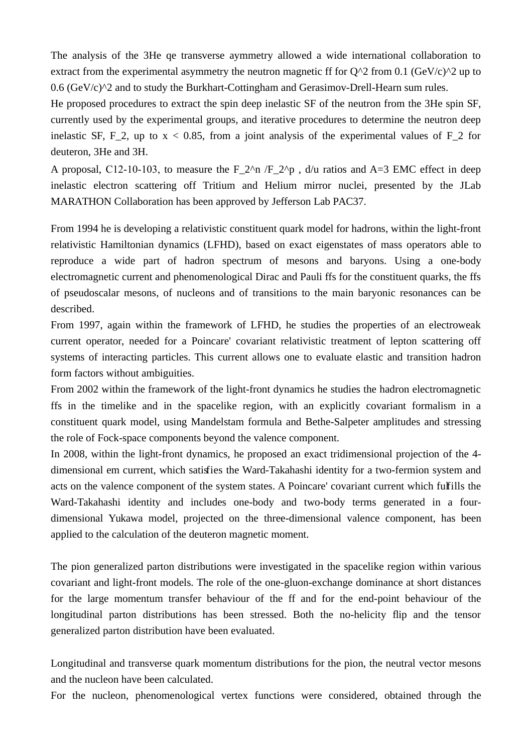The analysis of the 3He qe transverse aymmetry allowed a wide international collaboration to extract from the experimental asymmetry the neutron magnetic ff for  $Q^2$  from 0.1 (GeV/c)<sup> $\gamma$ </sup>2 up to  $0.6$  (GeV/c) $^{\wedge}2$  and to study the Burkhart-Cottingham and Gerasimov-Drell-Hearn sum rules.

He proposed procedures to extract the spin deep inelastic SF of the neutron from the 3He spin SF, currently used by the experimental groups, and iterative procedures to determine the neutron deep inelastic SF, F<sub>-2</sub>, up to  $x < 0.85$ , from a joint analysis of the experimental values of F<sub>-2</sub> for deuteron, 3He and 3H.

A proposal, C12-10-103, to measure the  $F_2^{\wedge}$   $F_2^{\wedge}$  , d/u ratios and A=3 EMC effect in deep inelastic electron scattering off Tritium and Helium mirror nuclei, presented by the JLab MARATHON Collaboration has been approved by Jefferson Lab PAC37.

From 1994 he is developing a relativistic constituent quark model for hadrons, within the light-front relativistic Hamiltonian dynamics (LFHD), based on exact eigenstates of mass operators able to reproduce a wide part of hadron spectrum of mesons and baryons. Using a one-body electromagnetic current and phenomenological Dirac and Pauli ffs for the constituent quarks, the ffs of pseudoscalar mesons, of nucleons and of transitions to the main baryonic resonances can be described.

From 1997, again within the framework of LFHD, he studies the properties of an electroweak current operator, needed for a Poincare' covariant relativistic treatment of lepton scattering off systems of interacting particles. This current allows one to evaluate elastic and transition hadron form factors without ambiguities.

From 2002 within the framework of the light-front dynamics he studies the hadron electromagnetic ffs in the timelike and in the spacelike region, with an explicitly covariant formalism in a constituent quark model, using Mandelstam formula and Bethe-Salpeter amplitudes and stressing the role of Fock-space components beyond the valence component.

In 2008, within the light-front dynamics, he proposed an exact tridimensional projection of the 4 dimensional em current, which satisfies the Ward-Takahashi identity for a two-fermion system and acts on the valence component of the system states. A Poincare' covariant current which fulfills the Ward-Takahashi identity and includes one-body and two-body terms generated in a fourdimensional Yukawa model, projected on the three-dimensional valence component, has been applied to the calculation of the deuteron magnetic moment.

The pion generalized parton distributions were investigated in the spacelike region within various covariant and light-front models. The role of the one-gluon-exchange dominance at short distances for the large momentum transfer behaviour of the ff and for the end-point behaviour of the longitudinal parton distributions has been stressed. Both the no-helicity flip and the tensor generalized parton distribution have been evaluated.

Longitudinal and transverse quark momentum distributions for the pion, the neutral vector mesons and the nucleon have been calculated.

For the nucleon, phenomenological vertex functions were considered, obtained through the